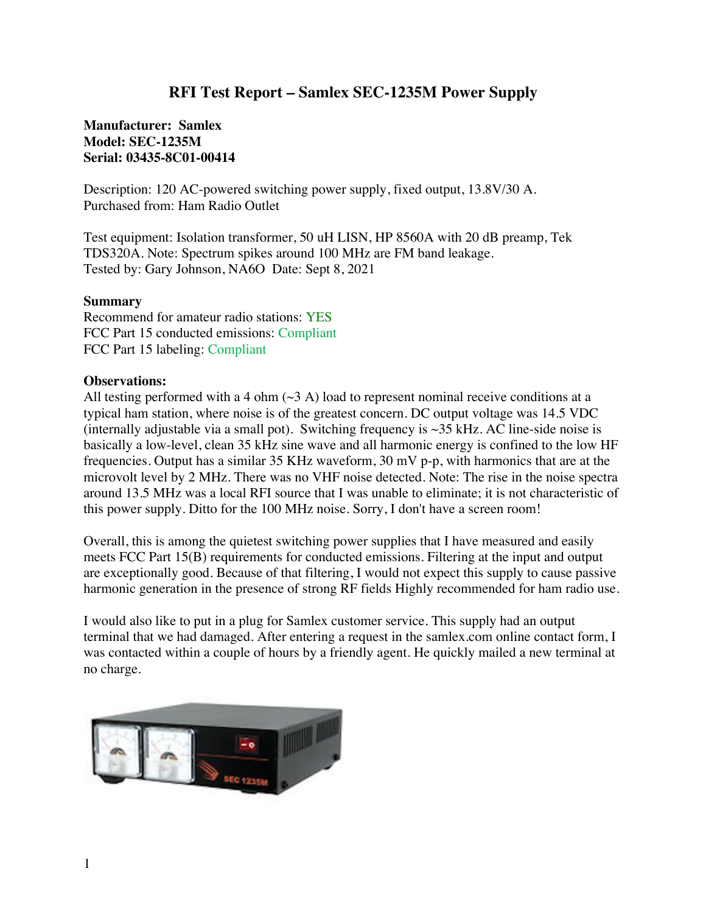## **RFI Test Report – Samlex SEC-1235M Power Supply**

## **Manufacturer: Samlex Model: SEC-1235M Serial: 03435-8C01-00414**

Description: 120 AC-powered switching power supply, fixed output, 13.8V/30 A. Purchased from: Ham Radio Outlet

Test equipment: Isolation transformer, 50 uH LISN, HP 8560A with 20 dB preamp, Tek TDS320A. Note: Spectrum spikes around 100 MHz are FM band leakage. Tested by: Gary Johnson, NA6O Date: Sept 8, 2021

## **Summary**

Recommend for amateur radio stations: YES FCC Part 15 conducted emissions: Compliant FCC Part 15 labeling: Compliant

## **Observations:**

All testing performed with a 4 ohm  $(\sim 3 \text{ A})$  load to represent nominal receive conditions at a typical ham station, where noise is of the greatest concern. DC output voltage was 14.5 VDC (internally adjustable via a small pot). Switching frequency is  $\sim$ 35 kHz. AC line-side noise is basically a low-level, clean 35 kHz sine wave and all harmonic energy is confined to the low HF frequencies. Output has a similar 35 KHz waveform, 30 mV p-p, with harmonics that are at the microvolt level by 2 MHz. There was no VHF noise detected. Note: The rise in the noise spectra around 13.5 MHz was a local RFI source that I was unable to eliminate; it is not characteristic of this power supply. Ditto for the 100 MHz noise. Sorry, I don't have a screen room!

Overall, this is among the quietest switching power supplies that I have measured and easily meets FCC Part 15(B) requirements for conducted emissions. Filtering at the input and output are exceptionally good. Because of that filtering, I would not expect this supply to cause passive harmonic generation in the presence of strong RF fields Highly recommended for ham radio use.

I would also like to put in a plug for Samlex customer service. This supply had an output terminal that we had damaged. After entering a request in the samlex.com online contact form, I was contacted within a couple of hours by a friendly agent. He quickly mailed a new terminal at no charge.

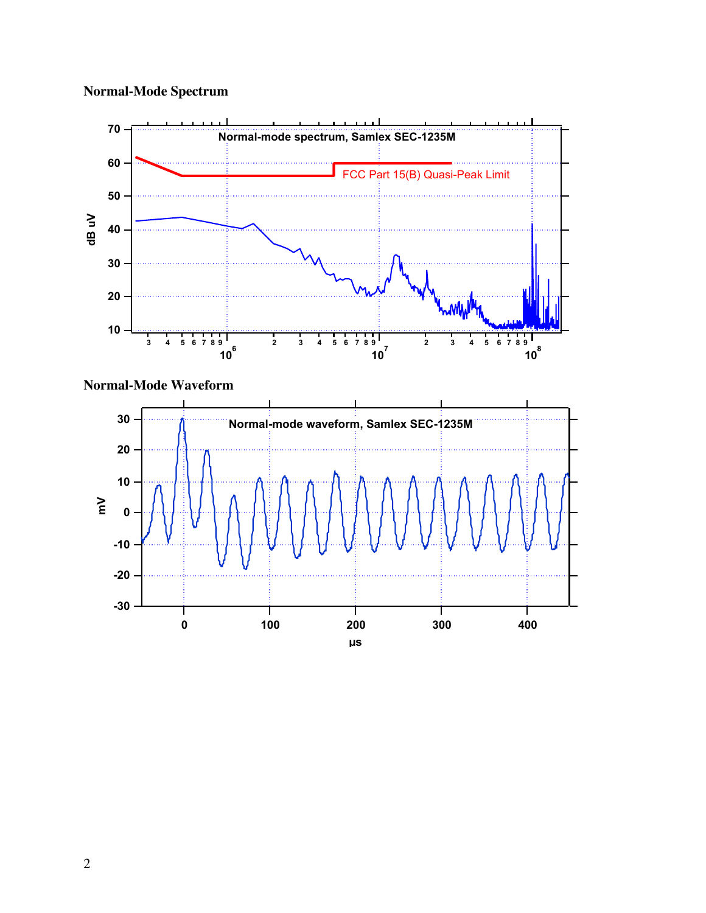